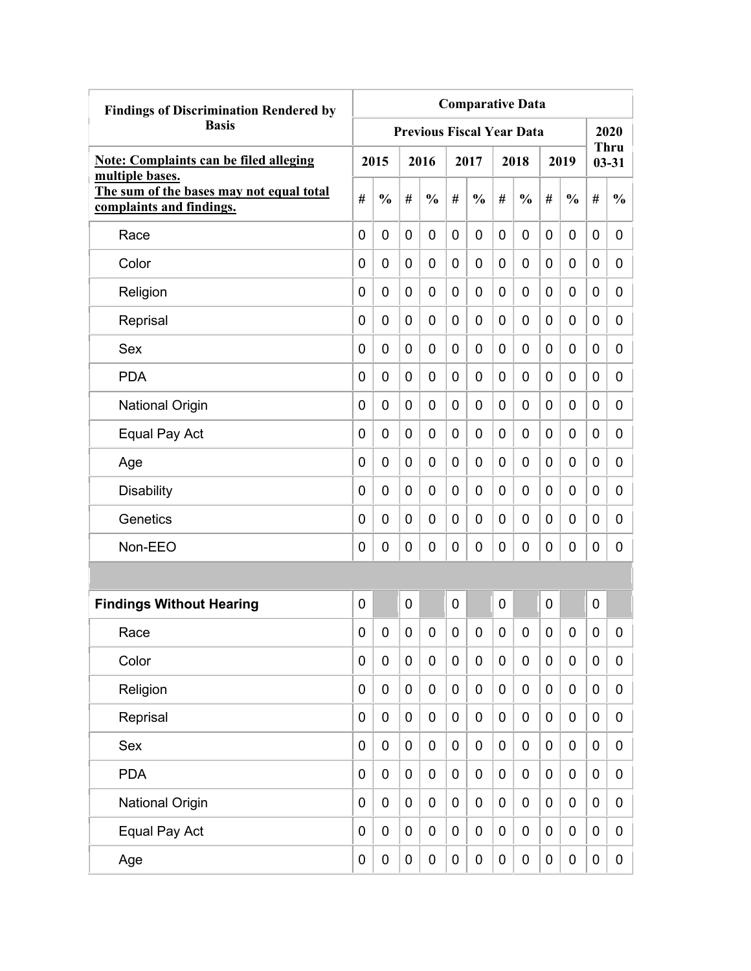| <b>Findings of Discrimination Rendered by</b>                                           | <b>Comparative Data</b> |               |             |                                  |             |               |             |               |   |                  |                  |                          |
|-----------------------------------------------------------------------------------------|-------------------------|---------------|-------------|----------------------------------|-------------|---------------|-------------|---------------|---|------------------|------------------|--------------------------|
| <b>Basis</b>                                                                            |                         |               |             | <b>Previous Fiscal Year Data</b> |             |               |             |               |   |                  |                  | 2020                     |
| <b>Note: Complaints can be filed alleging</b>                                           |                         | 2015          |             | 2016                             |             | 2017          |             | 2018          |   | 2019             |                  | <b>Thru</b><br>$03 - 31$ |
| multiple bases.<br>The sum of the bases may not equal total<br>complaints and findings. | #                       | $\frac{0}{0}$ | #           | $\frac{0}{0}$                    | #           | $\frac{0}{0}$ | #           | $\frac{0}{0}$ | # | $\frac{0}{0}$    | #                | $\frac{0}{0}$            |
| Race                                                                                    | 0                       | 0             | 0           | 0                                | $\mathbf 0$ | 0             | 0           | 0             | 0 | 0                | 0                | 0                        |
| Color                                                                                   | 0                       | 0             | 0           | 0                                | 0           | 0             | 0           | 0             | 0 | 0                | 0                | 0                        |
| Religion                                                                                | 0                       | 0             | 0           | 0                                | 0           | 0             | 0           | 0             | 0 | 0                | 0                | 0                        |
| Reprisal                                                                                | 0                       | 0             | 0           | 0                                | 0           | $\mathbf 0$   | 0           | 0             | 0 | 0                | $\mathbf 0$      | 0                        |
| Sex                                                                                     | 0                       | 0             | 0           | 0                                | 0           | $\mathbf 0$   | 0           | 0             | 0 | 0                | $\mathbf 0$      | 0                        |
| <b>PDA</b>                                                                              | 0                       | 0             | 0           | 0                                | 0           | $\mathbf 0$   | 0           | 0             | 0 | 0                | 0                | 0                        |
| <b>National Origin</b>                                                                  | 0                       | 0             | 0           | 0                                | 0           | $\mathbf 0$   | 0           | 0             | 0 | 0                | 0                | 0                        |
| Equal Pay Act                                                                           | 0                       | 0             | 0           | 0                                | $\mathbf 0$ | 0             | 0           | 0             | 0 | 0                | 0                | 0                        |
| Age                                                                                     | 0                       | 0             | 0           | 0                                | 0           | 0             | 0           | 0             | 0 | 0                | 0                | 0                        |
| <b>Disability</b>                                                                       | 0                       | 0             | 0           | 0                                | 0           | 0             | 0           | 0             | 0 | 0                | 0                | 0                        |
| Genetics                                                                                | 0                       | 0             | 0           | 0                                | 0           | $\mathbf 0$   | 0           | 0             | 0 | 0                | 0                | 0                        |
| Non-EEO                                                                                 | 0                       | 0             | 0           | 0                                | 0           | 0             | 0           | 0             | 0 | 0                | $\mathbf 0$      | 0                        |
|                                                                                         |                         |               |             |                                  |             |               |             |               |   |                  |                  |                          |
| <b>Findings Without Hearing</b>                                                         | 0                       |               | 0           |                                  | 0           |               | $\mathbf 0$ |               | 0 |                  | $\mathbf 0$      |                          |
| Race                                                                                    | 0                       | 0             | 0           | 0                                | 0           | 0             | 0           | 0             | 0 | 0                | 0                | 0                        |
| Color                                                                                   | 0                       | $\mathbf 0$   | $\mathbf 0$ | $\mathbf 0$                      | $\mathbf 0$ | $\mathbf 0$   | $\mathbf 0$ | 0             | 0 | $\mathbf 0$      | $\mathbf 0$      | 0                        |
| Religion                                                                                | 0                       | $\mathbf 0$   | $\pmb{0}$   | $\mathbf 0$                      | $\mathbf 0$ | $\mathbf 0$   | $\mathbf 0$ | 0             | 0 | $\boldsymbol{0}$ | $\mathbf 0$      | 0                        |
| Reprisal                                                                                | 0                       | $\mathbf 0$   | $\pmb{0}$   | $\mathbf 0$                      | $\mathbf 0$ | $\mathbf 0$   | $\mathbf 0$ | $\pmb{0}$     | 0 | $\mathbf 0$      | $\mathbf 0$      | 0                        |
| Sex                                                                                     | 0                       | 0             | $\pmb{0}$   | $\mathbf 0$                      | $\mathbf 0$ | $\mathbf 0$   | $\mathbf 0$ | $\pmb{0}$     | 0 | $\pmb{0}$        | $\mathbf 0$      | 0                        |
| <b>PDA</b>                                                                              | 0                       | $\mathbf 0$   | $\mathbf 0$ | $\mathbf 0$                      | $\mathbf 0$ | $\mathbf 0$   | 0           | $\pmb{0}$     | 0 | $\mathbf 0$      | $\mathbf 0$      | 0                        |
| <b>National Origin</b>                                                                  | 0                       | $\mathbf 0$   | $\pmb{0}$   | $\mathbf 0$                      | $\mathbf 0$ | $\pmb{0}$     | $\mathbf 0$ | 0             | 0 | $\pmb{0}$        | $\boldsymbol{0}$ | 0                        |
| Equal Pay Act                                                                           | 0                       | $\mathbf 0$   | 0           | 0                                | $\pmb{0}$   | $\pmb{0}$     | 0           | 0             | 0 | $\pmb{0}$        | $\mathbf 0$      | 0                        |
| Age                                                                                     | 0                       | $\pmb{0}$     | $\pmb{0}$   | $\pmb{0}$                        | $\pmb{0}$   | $\pmb{0}$     | 0           | 0             | 0 | $\pmb{0}$        | $\pmb{0}$        | $\overline{0}$           |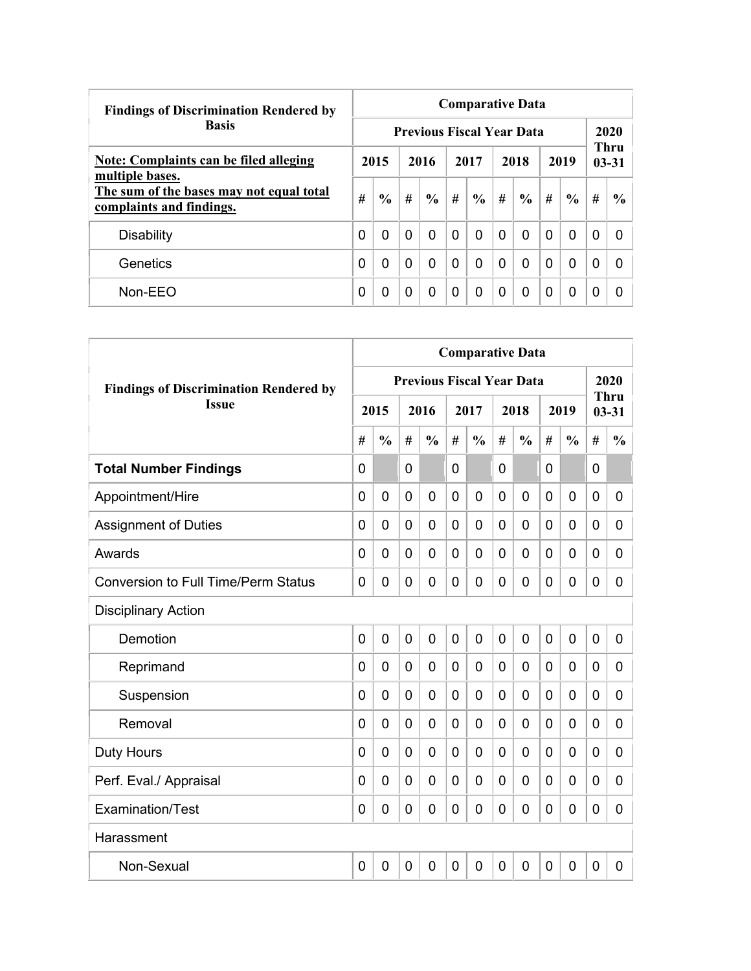| <b>Findings of Discrimination Rendered by</b>                        | <b>Comparative Data</b>          |               |          |               |          |               |          |               |          |               |                          |               |  |  |
|----------------------------------------------------------------------|----------------------------------|---------------|----------|---------------|----------|---------------|----------|---------------|----------|---------------|--------------------------|---------------|--|--|
| <b>Basis</b>                                                         | <b>Previous Fiscal Year Data</b> |               |          |               |          |               |          |               |          |               |                          |               |  |  |
| <b>Note: Complaints can be filed alleging</b><br>multiple bases.     |                                  | 2015          | 2016     |               | 2017     |               | 2018     |               | 2019     |               | <b>Thru</b><br>$03 - 31$ |               |  |  |
| The sum of the bases may not equal total<br>complaints and findings. | #                                | $\frac{0}{0}$ | #        | $\frac{6}{6}$ | #        | $\frac{0}{0}$ | #        | $\frac{6}{6}$ | #        | $\frac{6}{6}$ | #                        | $\frac{6}{9}$ |  |  |
| <b>Disability</b>                                                    | 0                                | $\Omega$      | $\Omega$ | 0             | $\Omega$ | $\Omega$      | $\Omega$ | 0             | $\Omega$ | $\Omega$      | 0                        | <sup>0</sup>  |  |  |
| Genetics                                                             | 0                                | $\Omega$      | $\Omega$ | 0             | $\Omega$ | 0             | $\Omega$ | 0             | $\Omega$ | $\mathbf 0$   | 0                        | <sup>0</sup>  |  |  |
| Non-EEO                                                              | 0                                | 0             | 0        | 0             | $\Omega$ | 0             | $\Omega$ | 0             | 0        | $\Omega$      | 0                        |               |  |  |

|                                               | <b>Comparative Data</b> |                |   |                                  |                |                |             |               |                |                |             |                   |  |
|-----------------------------------------------|-------------------------|----------------|---|----------------------------------|----------------|----------------|-------------|---------------|----------------|----------------|-------------|-------------------|--|
| <b>Findings of Discrimination Rendered by</b> |                         |                |   | <b>Previous Fiscal Year Data</b> |                |                |             |               |                |                |             | 2020              |  |
| <b>Issue</b>                                  |                         | 2015           |   | 2016                             |                | 2017           |             | 2018          |                | 2019           |             | Thru<br>$03 - 31$ |  |
|                                               | #                       | $\frac{0}{0}$  | # | $\frac{0}{0}$                    | #              | $\frac{0}{0}$  | #           | $\frac{0}{0}$ | #              | $\frac{0}{0}$  | #           | $\frac{0}{0}$     |  |
| <b>Total Number Findings</b>                  | $\mathbf{0}$            |                | 0 |                                  | $\mathbf{0}$   |                | 0           |               | $\mathbf{0}$   |                | 0           |                   |  |
| Appointment/Hire                              | $\overline{0}$          | $\mathbf 0$    | 0 | $\overline{0}$                   | $\overline{0}$ | 0              | 0           | 0             | $\mathbf 0$    | $\overline{0}$ | 0           | 0                 |  |
| <b>Assignment of Duties</b>                   | $\mathbf 0$             | $\mathbf 0$    | 0 | $\overline{0}$                   | $\mathbf 0$    | 0              | 0           | 0             | 0              | $\overline{0}$ | 0           | 0                 |  |
| Awards                                        | 0                       | 0              | 0 | 0                                | $\mathbf 0$    | 0              | 0           | 0             | 0              | $\mathbf 0$    | 0           | 0                 |  |
| <b>Conversion to Full Time/Perm Status</b>    | $\Omega$                | 0              | 0 | $\overline{0}$                   | 0              | 0              | 0           | 0             | 0              | $\mathbf 0$    | 0           | 0                 |  |
| <b>Disciplinary Action</b>                    |                         |                |   |                                  |                |                |             |               |                |                |             |                   |  |
| Demotion                                      | $\overline{0}$          | $\overline{0}$ | 0 | $\overline{0}$                   | $\overline{0}$ | $\overline{0}$ | $\mathbf 0$ | 0             | $\overline{0}$ | $\overline{0}$ | $\mathbf 0$ | 0                 |  |
| Reprimand                                     | $\Omega$                | $\Omega$       | 0 | $\overline{0}$                   | $\mathbf 0$    | 0              | $\Omega$    | 0             | 0              | $\mathbf 0$    | 0           | 0                 |  |
| Suspension                                    | 0                       | 0              | 0 | 0                                | $\mathbf 0$    | 0              | 0           | 0             | 0              | 0              | 0           | 0                 |  |
| Removal                                       | 0                       | 0              | 0 | $\overline{0}$                   | $\mathbf 0$    | 0              | 0           | 0             | 0              | $\overline{0}$ | 0           | 0                 |  |
| <b>Duty Hours</b>                             | $\Omega$                | 0              | 0 | $\overline{0}$                   | $\mathbf 0$    | 0              | 0           | 0             | 0              | $\overline{0}$ | 0           | 0                 |  |
| Perf. Eval./ Appraisal                        | $\mathbf{0}$            | 0              | 0 | $\mathbf 0$                      | $\mathbf 0$    | 0              | 0           | 0             | $\mathbf 0$    | $\overline{0}$ | 0           | 0                 |  |
| Examination/Test                              | $\mathbf 0$             | 0              | 0 | $\overline{0}$                   | $\mathbf 0$    | $\overline{0}$ | 0           | 0             | $\mathbf 0$    | $\overline{0}$ | $\mathbf 0$ | 0                 |  |
| Harassment                                    |                         |                |   |                                  |                |                |             |               |                |                |             |                   |  |
| Non-Sexual                                    | 0                       | $\mathbf 0$    | 0 | $\overline{0}$                   | $\mathbf 0$    | 0              | 0           | 0             | $\mathbf 0$    | $\overline{0}$ | $\mathbf 0$ | 0                 |  |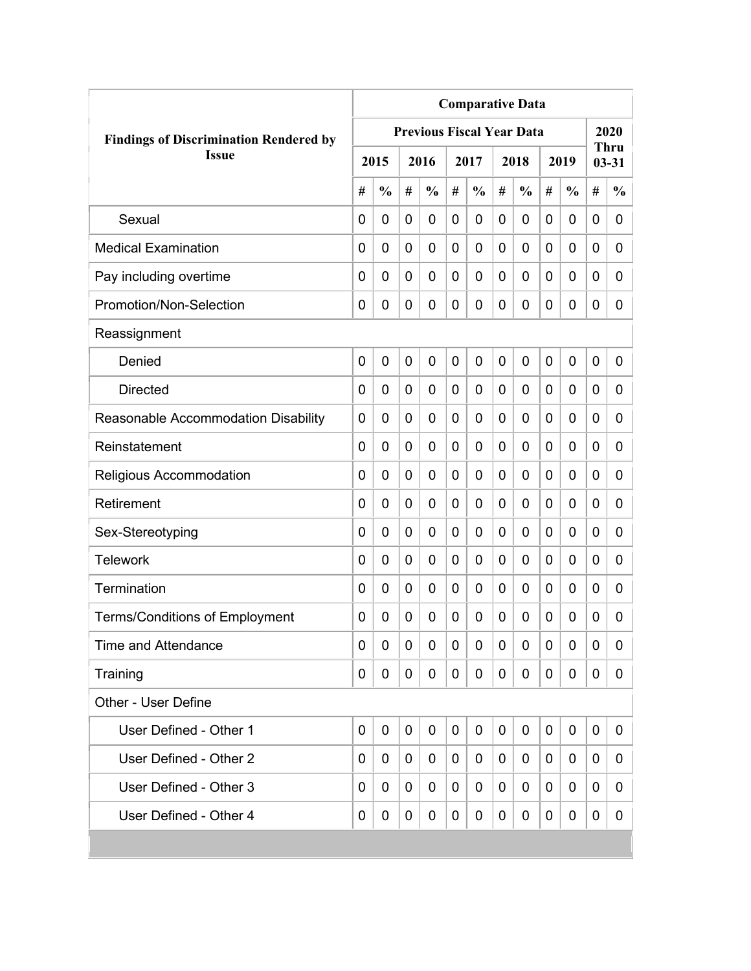|                                               | <b>Comparative Data</b> |               |                |                                  |   |               |   |               |             |               |   |                   |  |
|-----------------------------------------------|-------------------------|---------------|----------------|----------------------------------|---|---------------|---|---------------|-------------|---------------|---|-------------------|--|
| <b>Findings of Discrimination Rendered by</b> |                         |               |                | <b>Previous Fiscal Year Data</b> |   |               |   |               |             |               |   | 2020              |  |
| <b>Issue</b>                                  |                         | 2015          |                | 2016                             |   | 2017          |   | 2018          |             | 2019          |   | Thru<br>$03 - 31$ |  |
|                                               | #                       | $\frac{0}{0}$ | #              | $\frac{0}{0}$                    | # | $\frac{0}{0}$ | # | $\frac{0}{0}$ | #           | $\frac{0}{0}$ | # | $\frac{0}{0}$     |  |
| Sexual                                        | 0                       | 0             | 0              | 0                                | 0 | 0             | 0 | 0             | 0           | 0             | 0 | 0                 |  |
| <b>Medical Examination</b>                    | 0                       | 0             | 0              | 0                                | 0 | 0             | 0 | 0             | 0           | 0             | 0 | 0                 |  |
| Pay including overtime                        | 0                       | 0             | 0              | 0                                | 0 | 0             | 0 | 0             | 0           | 0             | 0 | 0                 |  |
| Promotion/Non-Selection                       | 0                       | 0             | 0              | 0                                | 0 | 0             | 0 | 0             | 0           | 0             | 0 | 0                 |  |
| Reassignment                                  |                         |               |                |                                  |   |               |   |               |             |               |   |                   |  |
| Denied                                        | $\mathbf 0$             | 0             | $\overline{0}$ | 0                                | 0 | 0             | 0 | 0             | $\mathbf 0$ | 0             | 0 | 0                 |  |
| <b>Directed</b>                               | 0                       | 0             | 0              | 0                                | 0 | 0             | 0 | 0             | 0           | 0             | 0 | 0                 |  |
| Reasonable Accommodation Disability           | 0                       | 0             | 0              | 0                                | 0 | 0             | 0 | 0             | 0           | 0             | 0 | 0                 |  |
| Reinstatement                                 | $\Omega$                | $\mathbf 0$   | 0              | 0                                | 0 | 0             | 0 | 0             | 0           | 0             | 0 | $\overline{0}$    |  |
| Religious Accommodation                       | 0                       | $\mathbf 0$   | 0              | 0                                | 0 | 0             | 0 | 0             | 0           | 0             | 0 | 0                 |  |
| Retirement                                    | 0                       | 0             | 0              | 0                                | 0 | 0             | 0 | 0             | 0           | 0             | 0 | 0                 |  |
| Sex-Stereotyping                              | 0                       | 0             | 0              | 0                                | 0 | 0             | 0 | 0             | 0           | 0             | 0 | 0                 |  |
| <b>Telework</b>                               | 0                       | $\mathbf 0$   | 0              | 0                                | 0 | 0             | 0 | 0             | 0           | 0             | 0 | 0                 |  |
| Termination                                   | 0                       | 0             | 0              | 0                                | 0 | 0             | 0 | 0             | 0           | 0             | 0 | 0                 |  |
| <b>Terms/Conditions of Employment</b>         | 0                       | 0             | 0              | 0                                | 0 | 0             | 0 | 0             | 0           | 0             | 0 | 0                 |  |
| <b>Time and Attendance</b>                    | 0                       | 0             | 0              | 0                                | 0 | 0             | 0 | 0             | 0           | 0             | 0 | 0                 |  |
| Training                                      | 0                       | 0             | 0              | 0                                | 0 | 0             | 0 | 0             | 0           | 0             | 0 | 0                 |  |
| <b>Other - User Define</b>                    |                         |               |                |                                  |   |               |   |               |             |               |   |                   |  |
| User Defined - Other 1                        | $\mathbf 0$             | 0             | 0              | 0                                | 0 | $\mathbf 0$   | 0 | 0             | 0           | 0             | 0 | 0                 |  |
| User Defined - Other 2                        | 0                       | 0             | 0              | 0                                | 0 | 0             | 0 | 0             | 0           | 0             | 0 | 0                 |  |
| User Defined - Other 3                        | 0                       | 0             | 0              | 0                                | 0 | 0             | 0 | 0             | 0           | 0             | 0 | 0                 |  |
| User Defined - Other 4                        | 0                       | 0             | 0              | 0                                | 0 | 0             | 0 | 0             | 0           | 0             | 0 | 0                 |  |
|                                               |                         |               |                |                                  |   |               |   |               |             |               |   |                   |  |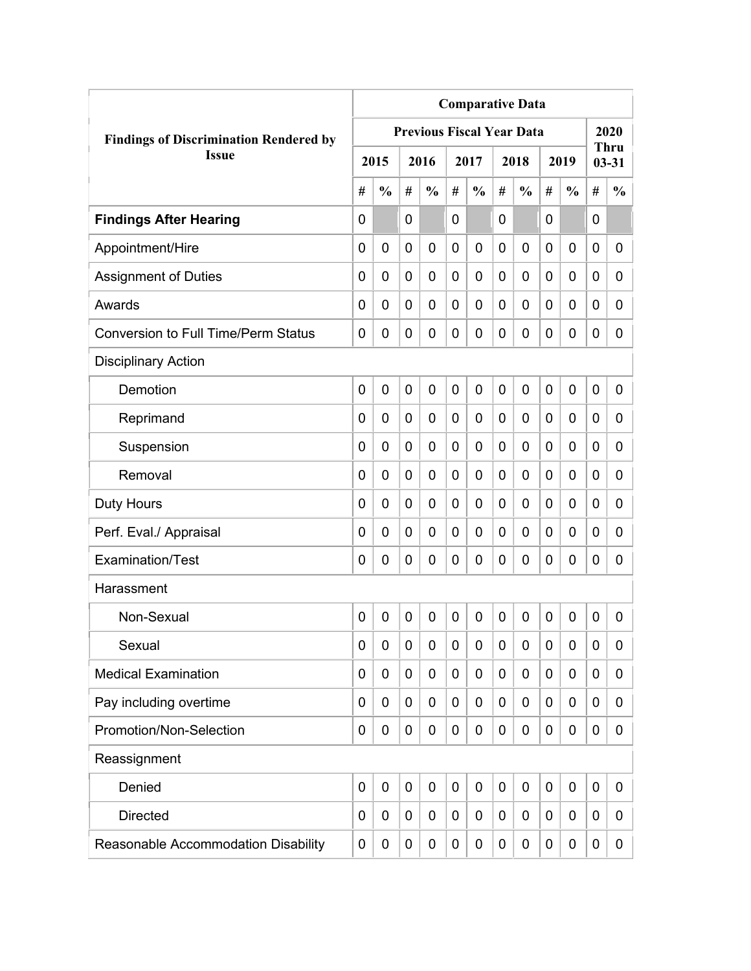|                                               | <b>Comparative Data</b> |               |   |                                  |                |                |                |                  |   |               |                |                          |  |
|-----------------------------------------------|-------------------------|---------------|---|----------------------------------|----------------|----------------|----------------|------------------|---|---------------|----------------|--------------------------|--|
| <b>Findings of Discrimination Rendered by</b> |                         |               |   | <b>Previous Fiscal Year Data</b> |                |                |                |                  |   |               |                | 2020                     |  |
| <b>Issue</b>                                  |                         | 2015          |   | 2016                             |                | 2017           |                | 2018             |   | 2019          |                | <b>Thru</b><br>$03 - 31$ |  |
|                                               | #                       | $\frac{0}{0}$ | # | $\frac{0}{0}$                    | #              | $\frac{0}{0}$  | #              | $\frac{0}{0}$    | # | $\frac{0}{0}$ | #              | $\frac{0}{0}$            |  |
| <b>Findings After Hearing</b>                 | $\mathbf 0$             |               | 0 |                                  | $\overline{0}$ |                | $\overline{0}$ |                  | 0 |               | $\overline{0}$ |                          |  |
| Appointment/Hire                              | 0                       | $\mathbf 0$   | 0 | 0                                | $\overline{0}$ | $\mathbf 0$    | $\overline{0}$ | 0                | 0 | $\mathbf 0$   | $\mathbf 0$    | 0                        |  |
| <b>Assignment of Duties</b>                   | 0                       | 0             | 0 | 0                                | $\mathbf 0$    | $\mathbf 0$    | 0              | 0                | 0 | 0             | 0              | 0                        |  |
| Awards                                        | 0                       | 0             | 0 | 0                                | 0              | 0              | $\overline{0}$ | 0                | 0 | 0             | 0              | 0                        |  |
| <b>Conversion to Full Time/Perm Status</b>    | 0                       | $\mathbf 0$   | 0 | 0                                | $\overline{0}$ | 0              | $\mathbf 0$    | 0                | 0 | $\mathbf 0$   | $\mathbf 0$    | 0                        |  |
| <b>Disciplinary Action</b>                    |                         |               |   |                                  |                |                |                |                  |   |               |                |                          |  |
| Demotion                                      | 0                       | $\mathbf 0$   | 0 | 0                                | $\mathbf 0$    | 0              | $\overline{0}$ | 0                | 0 | 0             | $\mathbf 0$    | 0                        |  |
| Reprimand                                     | 0                       | $\mathbf 0$   | 0 | 0                                | $\mathbf 0$    | $\mathbf 0$    | $\overline{0}$ | 0                | 0 | $\mathbf 0$   | $\mathbf 0$    | 0                        |  |
| Suspension                                    | 0                       | 0             | 0 | 0                                | 0              | $\mathbf 0$    | 0              | 0                | 0 | $\mathbf 0$   | 0              | 0                        |  |
| Removal                                       | 0                       | 0             | 0 | 0                                | 0              | 0              | 0              | 0                | 0 | 0             | 0              | 0                        |  |
| <b>Duty Hours</b>                             | 0                       | 0             | 0 | 0                                | 0              | 0              | 0              | 0                | 0 | 0             | 0              | 0                        |  |
| Perf. Eval./ Appraisal                        | 0                       | 0             | 0 | 0                                | $\overline{0}$ | 0              | $\overline{0}$ | 0                | 0 | 0             | 0              | 0                        |  |
| <b>Examination/Test</b>                       | 0                       | 0             | 0 | 0                                | 0              | 0              | $\mathbf 0$    | 0                | 0 | 0             | 0              | 0                        |  |
| Harassment                                    |                         |               |   |                                  |                |                |                |                  |   |               |                |                          |  |
| Non-Sexual                                    | $\mathbf 0$             | $\mathbf 0$   | 0 | 0                                | 0              | $\overline{0}$ | $\overline{0}$ | 0                | 0 | 0             | $\mathbf 0$    | 0                        |  |
| Sexual                                        | 0                       | 0             | 0 | 0                                | $\mathbf 0$    | 0              | 0              | $\boldsymbol{0}$ | 0 | 0             | 0              | 0                        |  |
| <b>Medical Examination</b>                    | 0                       | 0             | 0 | 0                                | $\mathbf 0$    | $\mathbf 0$    | 0              | $\mathbf 0$      | 0 | 0             | $\mathbf 0$    | 0                        |  |
| Pay including overtime                        | 0                       | 0             | 0 | 0                                | 0              | 0              | 0              | 0                | 0 | 0             | $\mathbf 0$    | 0                        |  |
| Promotion/Non-Selection                       | 0                       | 0             | 0 | 0                                | $\mathbf 0$    | $\mathbf 0$    | $\mathbf 0$    | $\mathbf 0$      | 0 | 0             | $\mathbf 0$    | 0                        |  |
| Reassignment                                  |                         |               |   |                                  |                |                |                |                  |   |               |                |                          |  |
| Denied                                        | $\mathbf 0$             | $\mathbf 0$   | 0 | 0                                | $\mathbf 0$    | $\mathbf 0$    | $\mathbf 0$    | $\mathbf 0$      | 0 | $\mathbf 0$   | $\mathbf 0$    | 0                        |  |
| <b>Directed</b>                               | $\mathbf 0$             | $\mathbf 0$   | 0 | 0                                | 0              | $\mathbf 0$    | 0              | $\mathbf 0$      | 0 | 0             | $\mathbf 0$    | 0                        |  |
| Reasonable Accommodation Disability           | 0                       | 0             | 0 | 0                                | 0              | 0              | 0              | 0                | 0 | 0             | 0              | 0                        |  |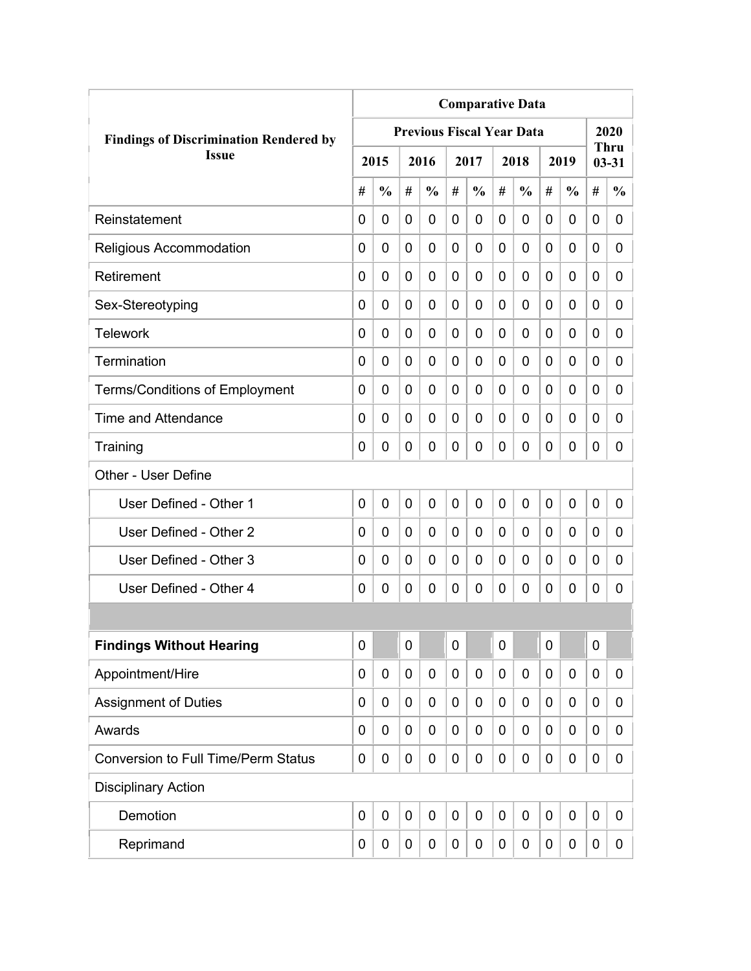|                                               | <b>Comparative Data</b> |               |             |                                  |                |               |   |               |             |               |             |                          |  |
|-----------------------------------------------|-------------------------|---------------|-------------|----------------------------------|----------------|---------------|---|---------------|-------------|---------------|-------------|--------------------------|--|
| <b>Findings of Discrimination Rendered by</b> |                         |               |             | <b>Previous Fiscal Year Data</b> |                |               |   |               |             |               |             | 2020                     |  |
| <b>Issue</b>                                  |                         | 2015          |             | 2016                             |                | 2017          |   | 2018          |             | 2019          |             | <b>Thru</b><br>$03 - 31$ |  |
|                                               | #                       | $\frac{0}{0}$ | #           | $\frac{0}{0}$                    | #              | $\frac{0}{0}$ | # | $\frac{0}{0}$ | #           | $\frac{0}{0}$ | #           | $\frac{0}{0}$            |  |
| Reinstatement                                 | $\Omega$                | 0             | 0           | 0                                | 0              | $\mathbf 0$   | 0 | 0             | 0           | 0             | 0           | 0                        |  |
| Religious Accommodation                       | 0                       | 0             | 0           | 0                                | $\overline{0}$ | $\mathbf 0$   | 0 | 0             | 0           | 0             | 0           | 0                        |  |
| Retirement                                    | 0                       | 0             | 0           | 0                                | 0              | $\mathbf 0$   | 0 | 0             | 0           | 0             | 0           | 0                        |  |
| Sex-Stereotyping                              | 0                       | 0             | 0           | 0                                | 0              | 0             | 0 | 0             | 0           | 0             | 0           | 0                        |  |
| <b>Telework</b>                               | 0                       | 0             | 0           | 0                                | 0              | 0             | 0 | 0             | 0           | 0             | 0           | 0                        |  |
| Termination                                   | 0                       | 0             | 0           | 0                                | 0              | 0             | 0 | 0             | 0           | 0             | 0           | 0                        |  |
| <b>Terms/Conditions of Employment</b>         | 0                       | 0             | 0           | 0                                | 0              | 0             | 0 | 0             | 0           | 0             | 0           | 0                        |  |
| <b>Time and Attendance</b>                    | 0                       | 0             | 0           | 0                                | 0              | 0             | 0 | 0             | 0           | 0             | 0           | 0                        |  |
| Training                                      | 0                       | 0             | 0           | 0                                | 0              | $\mathbf 0$   | 0 | 0             | 0           | 0             | 0           | 0                        |  |
| Other - User Define                           |                         |               |             |                                  |                |               |   |               |             |               |             |                          |  |
| User Defined - Other 1                        | 0                       | 0             | $\mathbf 0$ | 0                                | $\overline{0}$ | $\mathbf 0$   | 0 | 0             | $\mathbf 0$ | 0             | $\mathbf 0$ | 0                        |  |
| User Defined - Other 2                        | 0                       | 0             | 0           | 0                                | 0              | 0             | 0 | 0             | 0           | 0             | 0           | 0                        |  |
| User Defined - Other 3                        | 0                       | 0             | 0           | 0                                | 0              | 0             | 0 | 0             | 0           | 0             | 0           | 0                        |  |
| User Defined - Other 4                        | 0                       | 0             | 0           | 0                                | 0              | 0             | 0 | 0             | 0           | 0             | 0           | 0                        |  |
|                                               |                         |               |             |                                  |                |               |   |               |             |               |             |                          |  |
| <b>Findings Without Hearing</b>               | 0                       |               | $\mathbf 0$ |                                  | $\mathbf 0$    |               | 0 |               | 0           |               | $\mathbf 0$ |                          |  |
| Appointment/Hire                              | 0                       | 0             | 0           | 0                                | 0              | $\mathbf 0$   | 0 | $\mathbf 0$   | 0           | 0             | $\mathbf 0$ | 0                        |  |
| <b>Assignment of Duties</b>                   | 0                       | 0             | 0           | 0                                | 0              | $\mathbf 0$   | 0 | 0             | 0           | 0             | $\mathbf 0$ | 0                        |  |
| Awards                                        | 0                       | 0             | 0           | 0                                | 0              | 0             | 0 | 0             | 0           | 0             | $\mathbf 0$ | 0                        |  |
| <b>Conversion to Full Time/Perm Status</b>    | 0                       | 0             | 0           | 0                                | 0              | 0             | 0 | 0             | 0           | 0             | $\mathbf 0$ | 0                        |  |
| <b>Disciplinary Action</b>                    |                         |               |             |                                  |                |               |   |               |             |               |             |                          |  |
| Demotion                                      | $\mathbf 0$             | $\mathbf 0$   | 0           | $\mathbf 0$                      | $\mathbf 0$    | $\mathbf 0$   | 0 | $\mathbf 0$   | 0           | $\mathbf 0$   | $\mathbf 0$ | 0                        |  |
| Reprimand                                     | 0                       | 0             | 0           | 0                                | 0              | 0             | 0 | $\pmb{0}$     | 0           | 0             | $\mathbf 0$ | 0                        |  |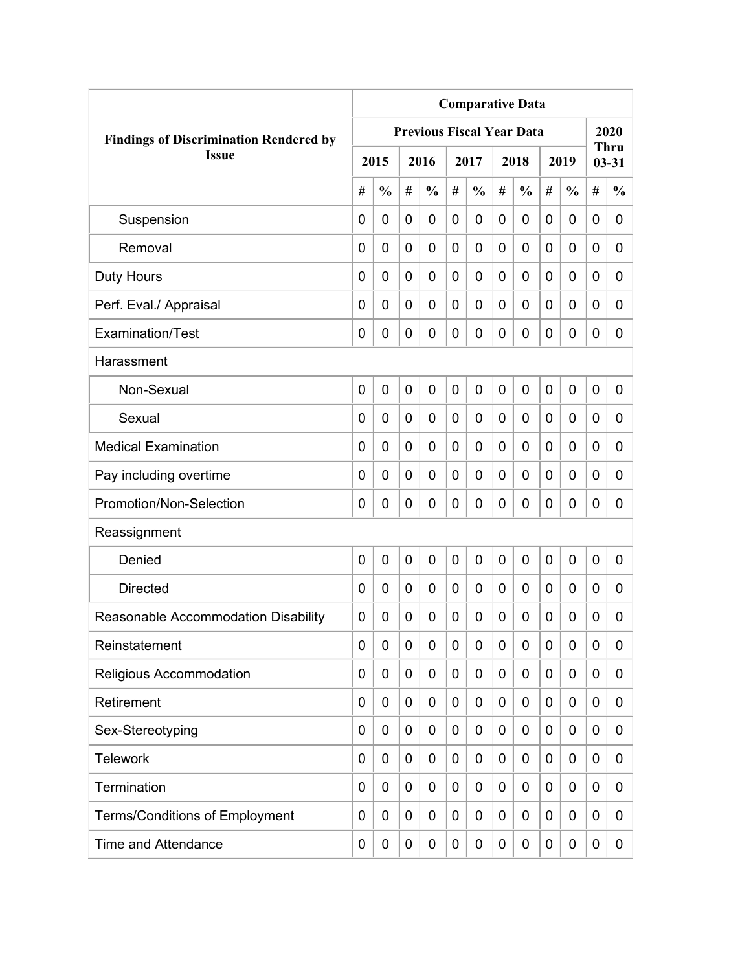|                                               | <b>Comparative Data</b> |                |   |                                  |             |               |             |               |   |               |             |                          |  |
|-----------------------------------------------|-------------------------|----------------|---|----------------------------------|-------------|---------------|-------------|---------------|---|---------------|-------------|--------------------------|--|
| <b>Findings of Discrimination Rendered by</b> |                         |                |   | <b>Previous Fiscal Year Data</b> |             |               |             |               |   |               |             | 2020                     |  |
| <b>Issue</b>                                  |                         | 2015           |   | 2016                             |             | 2017          |             | 2018          |   | 2019          |             | <b>Thru</b><br>$03 - 31$ |  |
|                                               | #                       | $\frac{0}{0}$  | # | $\frac{0}{0}$                    | #           | $\frac{0}{0}$ | #           | $\frac{0}{0}$ | # | $\frac{0}{0}$ | #           | $\frac{0}{0}$            |  |
| Suspension                                    | 0                       | $\mathbf 0$    | 0 | $\overline{0}$                   | 0           | 0             | $\mathbf 0$ | 0             | 0 | $\mathbf 0$   | 0           | 0                        |  |
| Removal                                       | 0                       | 0              | 0 | $\overline{0}$                   | $\mathbf 0$ | 0             | 0           | 0             | 0 | $\mathbf 0$   | $\mathbf 0$ | 0                        |  |
| <b>Duty Hours</b>                             | 0                       | 0              | 0 | 0                                | 0           | 0             | 0           | 0             | 0 | $\mathbf 0$   | 0           | 0                        |  |
| Perf. Eval./ Appraisal                        | 0                       | 0              | 0 | 0                                | 0           | 0             | 0           | 0             | 0 | $\mathbf 0$   | 0           | 0                        |  |
| Examination/Test                              | 0                       | 0              | 0 | 0                                | $\mathbf 0$ | 0             | 0           | 0             | 0 | $\mathbf 0$   | 0           | 0                        |  |
| Harassment                                    |                         |                |   |                                  |             |               |             |               |   |               |             |                          |  |
| Non-Sexual                                    | 0                       | $\overline{0}$ | 0 | 0                                | $\mathbf 0$ | 0             | $\mathbf 0$ | $\mathbf 0$   | 0 | $\mathbf 0$   | 0           | 0                        |  |
| Sexual                                        | 0                       | 0              | 0 | $\overline{0}$                   | 0           | 0             | 0           | 0             | 0 | $\mathbf 0$   | 0           | 0                        |  |
| <b>Medical Examination</b>                    | 0                       | 0              | 0 | $\overline{0}$                   | 0           | 0             | 0           | 0             | 0 | $\mathbf 0$   | $\mathbf 0$ | 0                        |  |
| Pay including overtime                        | 0                       | 0              | 0 | 0                                | 0           | 0             | 0           | 0             | 0 | $\mathbf 0$   | 0           | 0                        |  |
| Promotion/Non-Selection                       | 0                       | 0              | 0 | 0                                | $\mathbf 0$ | 0             | 0           | 0             | 0 | $\mathbf 0$   | 0           | 0                        |  |
| Reassignment                                  |                         |                |   |                                  |             |               |             |               |   |               |             |                          |  |
| Denied                                        | 0                       | $\mathbf 0$    | 0 | $\overline{0}$                   | $\mathbf 0$ | 0             | 0           | 0             | 0 | $\mathbf 0$   | 0           | 0                        |  |
| <b>Directed</b>                               | 0                       | $\mathbf 0$    | 0 | 0                                | $\mathbf 0$ | 0             | 0           | 0             | 0 | $\mathbf 0$   | 0           | 0                        |  |
| Reasonable Accommodation Disability           | 0                       | 0              | 0 | 0                                | 0           | 0             | 0           | 0             | 0 | 0             | 0           | 0                        |  |
| Reinstatement                                 | 0                       | 0              | 0 | 0                                | $\mathbf 0$ | 0             | 0           | 0             | 0 | $\mathbf 0$   | 0           | 0                        |  |
| Religious Accommodation                       | 0                       | 0              | 0 | 0                                | 0           | 0             | 0           | 0             | 0 | $\mathbf 0$   | 0           | 0                        |  |
| Retirement                                    | 0                       | 0              | 0 | 0                                | $\mathbf 0$ | 0             | 0           | 0             | 0 | $\mathbf 0$   | 0           | 0                        |  |
| Sex-Stereotyping                              | 0                       | 0              | 0 | 0                                | 0           | 0             | 0           | 0             | 0 | $\mathbf 0$   | 0           | 0                        |  |
| <b>Telework</b>                               | 0                       | 0              | 0 | 0                                | 0           | 0             | 0           | 0             | 0 | $\mathbf 0$   | 0           | 0                        |  |
| Termination                                   | 0                       | 0              | 0 | 0                                | $\mathbf 0$ | 0             | 0           | 0             | 0 | $\mathbf 0$   | 0           | 0                        |  |
| <b>Terms/Conditions of Employment</b>         | 0                       | 0              | 0 | 0                                | 0           | 0             | 0           | 0             | 0 | $\mathbf 0$   | 0           | 0                        |  |
| <b>Time and Attendance</b>                    | 0                       | 0              | 0 | 0                                | $\mathbf 0$ | 0             | 0           | 0             | 0 | $\mathbf 0$   | 0           | 0                        |  |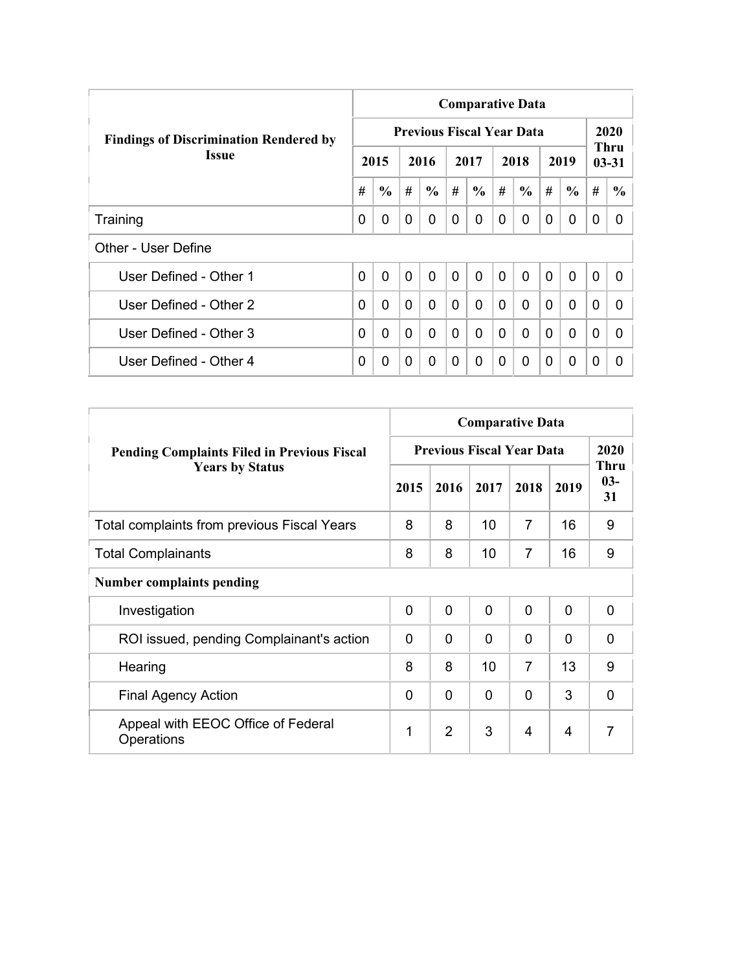|                                               | <b>Comparative Data</b> |               |                |                                  |                |                |              |                |                |               |                   |               |  |  |  |
|-----------------------------------------------|-------------------------|---------------|----------------|----------------------------------|----------------|----------------|--------------|----------------|----------------|---------------|-------------------|---------------|--|--|--|
| <b>Findings of Discrimination Rendered by</b> |                         |               |                | <b>Previous Fiscal Year Data</b> |                |                |              |                |                |               |                   | 2020          |  |  |  |
| <b>Issue</b>                                  |                         | 2015          |                | 2016                             |                | 2017           |              | 2018           |                | 2019          | Thru<br>$03 - 31$ |               |  |  |  |
|                                               | #                       | $\frac{6}{6}$ | #              | $\frac{6}{6}$                    | #              | $\frac{6}{6}$  | #            | $\frac{6}{6}$  | #              | $\frac{6}{6}$ | #                 | $\frac{6}{9}$ |  |  |  |
| Training                                      | 0                       | 0             | $\Omega$       | 0                                | 0              | $\Omega$       | 0            | 0              | $\Omega$       | 0             | 0                 | 0             |  |  |  |
| Other - User Define                           |                         |               |                |                                  |                |                |              |                |                |               |                   |               |  |  |  |
| User Defined - Other 1                        | $\overline{0}$          | $\mathbf{0}$  | $\overline{0}$ | $\mathbf{0}$                     | $\overline{0}$ | $\overline{0}$ | $\mathbf{0}$ | $\overline{0}$ | $\overline{0}$ | $\mathbf{0}$  | $\overline{0}$    | 0             |  |  |  |
| User Defined - Other 2                        | 0                       | 0             | $\mathbf{0}$   | $\Omega$                         | $\Omega$       | 0              | $\Omega$     | $\Omega$       | $\Omega$       | $\mathbf{0}$  | $\Omega$          | <sup>0</sup>  |  |  |  |
| User Defined - Other 3                        | 0                       | 0             | $\Omega$       | 0                                | $\mathbf{0}$   | 0              | $\Omega$     | $\Omega$       | $\Omega$       | $\mathbf{0}$  | $\Omega$          | 0             |  |  |  |
| User Defined - Other 4                        | 0                       | 0             | $\Omega$       | 0                                | 0              | $\Omega$       | 0            | $\Omega$       | 0              | $\mathbf 0$   | 0                 | 0             |  |  |  |

|                                                    | <b>Comparative Data</b>          |                |                |                |              |                            |  |  |  |  |  |  |
|----------------------------------------------------|----------------------------------|----------------|----------------|----------------|--------------|----------------------------|--|--|--|--|--|--|
| <b>Pending Complaints Filed in Previous Fiscal</b> | <b>Previous Fiscal Year Data</b> | 2020           |                |                |              |                            |  |  |  |  |  |  |
| <b>Years by Status</b>                             | 2015                             | 2016           | 2017           | 2018           | 2019         | <b>Thru</b><br>$03-$<br>31 |  |  |  |  |  |  |
| Total complaints from previous Fiscal Years        | 8                                | 8              | 10             | 7              | 16           | 9                          |  |  |  |  |  |  |
| <b>Total Complainants</b>                          | 8                                | 8              | 10             | $\overline{7}$ | 16           | 9                          |  |  |  |  |  |  |
| <b>Number complaints pending</b>                   |                                  |                |                |                |              |                            |  |  |  |  |  |  |
| Investigation                                      | $\mathbf 0$                      | 0              | $\overline{0}$ | $\Omega$       | $\mathbf{0}$ | 0                          |  |  |  |  |  |  |
| ROI issued, pending Complainant's action           | $\Omega$                         | 0              | $\mathbf 0$    | 0              | $\Omega$     | $\Omega$                   |  |  |  |  |  |  |
| Hearing                                            | 8                                | 8              | 10             | $\overline{7}$ | 13           | 9                          |  |  |  |  |  |  |
| <b>Final Agency Action</b>                         | $\Omega$                         | 0              | $\Omega$       | 0              | 3            | $\Omega$                   |  |  |  |  |  |  |
| Appeal with EEOC Office of Federal<br>Operations   | 1                                | $\overline{2}$ | 3              | 4              | 4            | $\overline{7}$             |  |  |  |  |  |  |